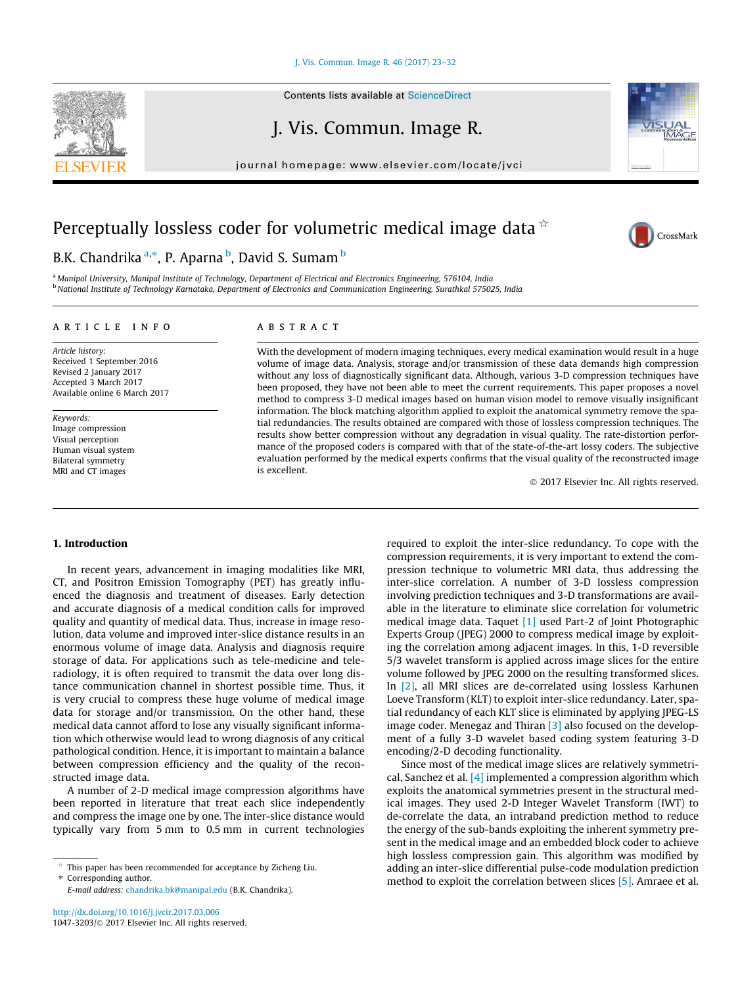[J. Vis. Commun. Image R. 46 \(2017\) 23–32](http://dx.doi.org/10.1016/j.jvcir.2017.03.006)

J. Vis. Commun. Image R.

journal homepage: [www.elsevier.com/locate/jvci](http://www.elsevier.com/locate/jvci)

# Perceptually lossless coder for volumetric medical image data  $\dot{\alpha}$

## B.K. Chandrika <sup>a,</sup>\*, P. Aparna <sup>b</sup>, David S. Sumam <sup>b</sup>

a Manipal University, Manipal Institute of Technology, Department of Electrical and Electronics Engineering, 576104, India <sup>b</sup> National Institute of Technology Karnataka, Department of Electronics and Communication Engineering, Surathkal 575025, India

## ARTICLE INFO

Article history: Received 1 September 2016 Revised 2 January 2017 Accepted 3 March 2017 Available online 6 March 2017

Keywords: Image compression Visual perception Human visual system Bilateral symmetry MRI and CT images

## **ABSTRACT**

With the development of modern imaging techniques, every medical examination would result in a huge volume of image data. Analysis, storage and/or transmission of these data demands high compression without any loss of diagnostically significant data. Although, various 3-D compression techniques have been proposed, they have not been able to meet the current requirements. This paper proposes a novel method to compress 3-D medical images based on human vision model to remove visually insignificant information. The block matching algorithm applied to exploit the anatomical symmetry remove the spatial redundancies. The results obtained are compared with those of lossless compression techniques. The results show better compression without any degradation in visual quality. The rate-distortion performance of the proposed coders is compared with that of the state-of-the-art lossy coders. The subjective evaluation performed by the medical experts confirms that the visual quality of the reconstructed image is excellent.

2017 Elsevier Inc. All rights reserved.

#### 1. Introduction

In recent years, advancement in imaging modalities like MRI, CT, and Positron Emission Tomography (PET) has greatly influenced the diagnosis and treatment of diseases. Early detection and accurate diagnosis of a medical condition calls for improved quality and quantity of medical data. Thus, increase in image resolution, data volume and improved inter-slice distance results in an enormous volume of image data. Analysis and diagnosis require storage of data. For applications such as tele-medicine and teleradiology, it is often required to transmit the data over long distance communication channel in shortest possible time. Thus, it is very crucial to compress these huge volume of medical image data for storage and/or transmission. On the other hand, these medical data cannot afford to lose any visually significant information which otherwise would lead to wrong diagnosis of any critical pathological condition. Hence, it is important to maintain a balance between compression efficiency and the quality of the reconstructed image data.

A number of 2-D medical image compression algorithms have been reported in literature that treat each slice independently and compress the image one by one. The inter-slice distance would typically vary from 5 mm to 0.5 mm in current technologies

This paper has been recommended for acceptance by Zicheng Liu.

⇑ Corresponding author.

E-mail address: [chandrika.bk@manipal.edu](mailto:chandrika.bk@manipal.edu) (B.K. Chandrika).

required to exploit the inter-slice redundancy. To cope with the compression requirements, it is very important to extend the compression technique to volumetric MRI data, thus addressing the inter-slice correlation. A number of 3-D lossless compression involving prediction techniques and 3-D transformations are available in the literature to eliminate slice correlation for volumetric medical image data. Taquet [\[1\]](#page-8-0) used Part-2 of Joint Photographic Experts Group (JPEG) 2000 to compress medical image by exploiting the correlation among adjacent images. In this, 1-D reversible 5/3 wavelet transform is applied across image slices for the entire volume followed by JPEG 2000 on the resulting transformed slices. In [\[2\],](#page-8-0) all MRI slices are de-correlated using lossless Karhunen Loeve Transform (KLT) to exploit inter-slice redundancy. Later, spatial redundancy of each KLT slice is eliminated by applying JPEG-LS image coder. Menegaz and Thiran [\[3\]](#page-8-0) also focused on the development of a fully 3-D wavelet based coding system featuring 3-D encoding/2-D decoding functionality.

Since most of the medical image slices are relatively symmetrical, Sanchez et al. [\[4\]](#page-8-0) implemented a compression algorithm which exploits the anatomical symmetries present in the structural medical images. They used 2-D Integer Wavelet Transform (IWT) to de-correlate the data, an intraband prediction method to reduce the energy of the sub-bands exploiting the inherent symmetry present in the medical image and an embedded block coder to achieve high lossless compression gain. This algorithm was modified by adding an inter-slice differential pulse-code modulation prediction method to exploit the correlation between slices [\[5\]](#page-8-0). Amraee et al.



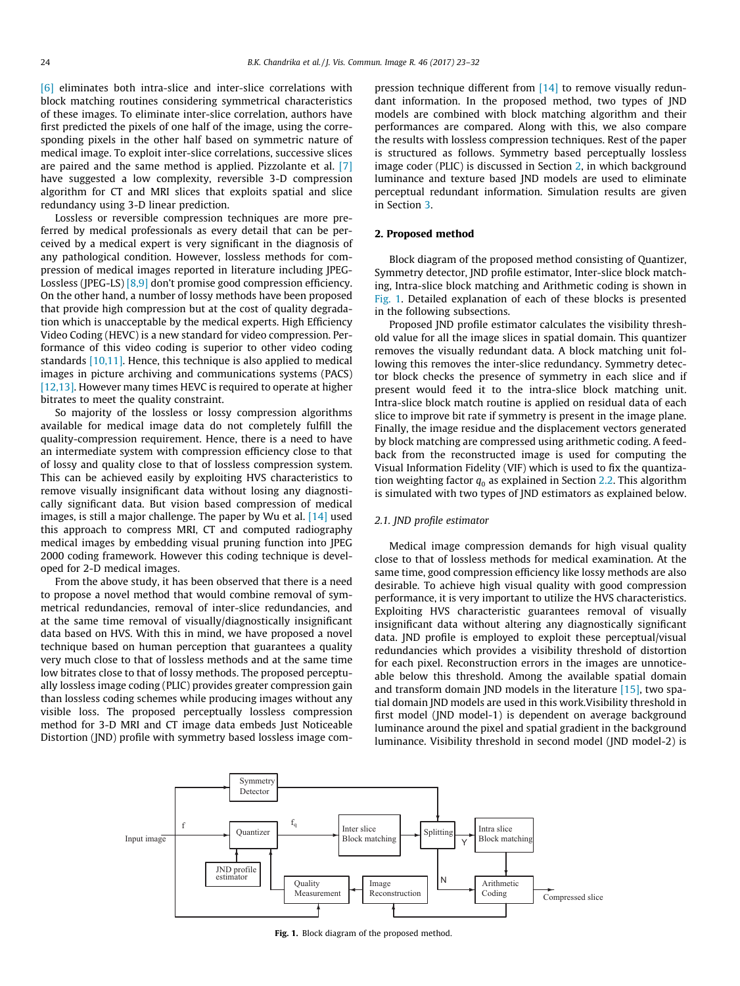<span id="page-1-0"></span>[\[6\]](#page-8-0) eliminates both intra-slice and inter-slice correlations with block matching routines considering symmetrical characteristics of these images. To eliminate inter-slice correlation, authors have first predicted the pixels of one half of the image, using the corresponding pixels in the other half based on symmetric nature of medical image. To exploit inter-slice correlations, successive slices are paired and the same method is applied. Pizzolante et al. [\[7\]](#page-8-0) have suggested a low complexity, reversible 3-D compression algorithm for CT and MRI slices that exploits spatial and slice redundancy using 3-D linear prediction.

Lossless or reversible compression techniques are more preferred by medical professionals as every detail that can be perceived by a medical expert is very significant in the diagnosis of any pathological condition. However, lossless methods for compression of medical images reported in literature including JPEG-Lossless (JPEG-LS) [\[8,9\]](#page-8-0) don't promise good compression efficiency. On the other hand, a number of lossy methods have been proposed that provide high compression but at the cost of quality degradation which is unacceptable by the medical experts. High Efficiency Video Coding (HEVC) is a new standard for video compression. Performance of this video coding is superior to other video coding standards [\[10,11\].](#page-8-0) Hence, this technique is also applied to medical images in picture archiving and communications systems (PACS) [\[12,13\].](#page-9-0) However many times HEVC is required to operate at higher bitrates to meet the quality constraint.

So majority of the lossless or lossy compression algorithms available for medical image data do not completely fulfill the quality-compression requirement. Hence, there is a need to have an intermediate system with compression efficiency close to that of lossy and quality close to that of lossless compression system. This can be achieved easily by exploiting HVS characteristics to remove visually insignificant data without losing any diagnostically significant data. But vision based compression of medical images, is still a major challenge. The paper by Wu et al. [\[14\]](#page-9-0) used this approach to compress MRI, CT and computed radiography medical images by embedding visual pruning function into JPEG 2000 coding framework. However this coding technique is developed for 2-D medical images.

From the above study, it has been observed that there is a need to propose a novel method that would combine removal of symmetrical redundancies, removal of inter-slice redundancies, and at the same time removal of visually/diagnostically insignificant data based on HVS. With this in mind, we have proposed a novel technique based on human perception that guarantees a quality very much close to that of lossless methods and at the same time low bitrates close to that of lossy methods. The proposed perceptually lossless image coding (PLIC) provides greater compression gain than lossless coding schemes while producing images without any visible loss. The proposed perceptually lossless compression method for 3-D MRI and CT image data embeds Just Noticeable Distortion (JND) profile with symmetry based lossless image compression technique different from [\[14\]](#page-9-0) to remove visually redundant information. In the proposed method, two types of JND models are combined with block matching algorithm and their performances are compared. Along with this, we also compare the results with lossless compression techniques. Rest of the paper is structured as follows. Symmetry based perceptually lossless image coder (PLIC) is discussed in Section 2, in which background luminance and texture based JND models are used to eliminate perceptual redundant information. Simulation results are given in Section [3.](#page-4-0)

#### 2. Proposed method

Block diagram of the proposed method consisting of Quantizer, Symmetry detector, JND profile estimator, Inter-slice block matching, Intra-slice block matching and Arithmetic coding is shown in Fig. 1. Detailed explanation of each of these blocks is presented in the following subsections.

Proposed JND profile estimator calculates the visibility threshold value for all the image slices in spatial domain. This quantizer removes the visually redundant data. A block matching unit following this removes the inter-slice redundancy. Symmetry detector block checks the presence of symmetry in each slice and if present would feed it to the intra-slice block matching unit. Intra-slice block match routine is applied on residual data of each slice to improve bit rate if symmetry is present in the image plane. Finally, the image residue and the displacement vectors generated by block matching are compressed using arithmetic coding. A feedback from the reconstructed image is used for computing the Visual Information Fidelity (VIF) which is used to fix the quantization weighting factor  $q_0$  as explained in Section [2.2.](#page-3-0) This algorithm is simulated with two types of JND estimators as explained below.

#### 2.1. JND profile estimator

Medical image compression demands for high visual quality close to that of lossless methods for medical examination. At the same time, good compression efficiency like lossy methods are also desirable. To achieve high visual quality with good compression performance, it is very important to utilize the HVS characteristics. Exploiting HVS characteristic guarantees removal of visually insignificant data without altering any diagnostically significant data. JND profile is employed to exploit these perceptual/visual redundancies which provides a visibility threshold of distortion for each pixel. Reconstruction errors in the images are unnoticeable below this threshold. Among the available spatial domain and transform domain JND models in the literature  $[15]$ , two spatial domain JND models are used in this work.Visibility threshold in first model (JND model-1) is dependent on average background luminance around the pixel and spatial gradient in the background luminance. Visibility threshold in second model (JND model-2) is



Fig. 1. Block diagram of the proposed method.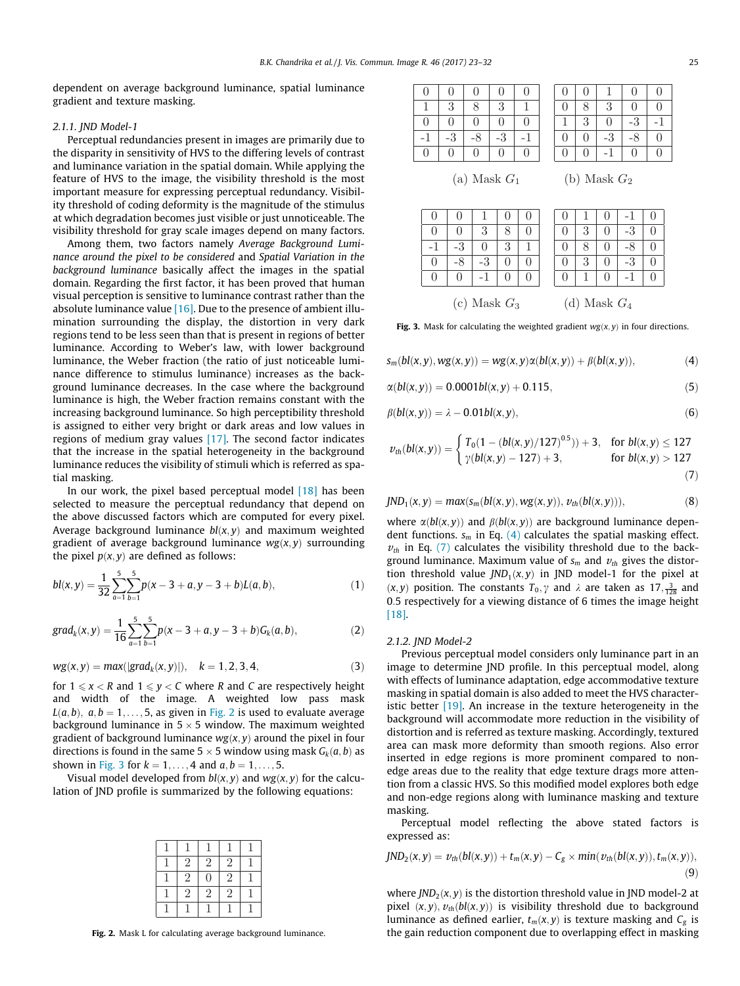dependent on average background luminance, spatial luminance gradient and texture masking.

#### 2.1.1. JND Model-1

Perceptual redundancies present in images are primarily due to the disparity in sensitivity of HVS to the differing levels of contrast and luminance variation in the spatial domain. While applying the feature of HVS to the image, the visibility threshold is the most important measure for expressing perceptual redundancy. Visibility threshold of coding deformity is the magnitude of the stimulus at which degradation becomes just visible or just unnoticeable. The visibility threshold for gray scale images depend on many factors.

Among them, two factors namely Average Background Luminance around the pixel to be considered and Spatial Variation in the background luminance basically affect the images in the spatial domain. Regarding the first factor, it has been proved that human visual perception is sensitive to luminance contrast rather than the absolute luminance value  $[16]$ . Due to the presence of ambient illumination surrounding the display, the distortion in very dark regions tend to be less seen than that is present in regions of better luminance. According to Weber's law, with lower background luminance, the Weber fraction (the ratio of just noticeable luminance difference to stimulus luminance) increases as the background luminance decreases. In the case where the background luminance is high, the Weber fraction remains constant with the increasing background luminance. So high perceptibility threshold is assigned to either very bright or dark areas and low values in regions of medium gray values [\[17\]](#page-9-0). The second factor indicates that the increase in the spatial heterogeneity in the background luminance reduces the visibility of stimuli which is referred as spatial masking.

In our work, the pixel based perceptual model [\[18\]](#page-9-0) has been selected to measure the perceptual redundancy that depend on the above discussed factors which are computed for every pixel. Average background luminance  $bl(x, y)$  and maximum weighted gradient of average background luminance  $wg(x, y)$  surrounding the pixel  $p(x, y)$  are defined as follows:

$$
bl(x,y) = \frac{1}{32} \sum_{a=1}^{5} \sum_{b=1}^{5} p(x-3+a,y-3+b)L(a,b),
$$
 (1)

$$
grad_k(x,y) = \frac{1}{16} \sum_{a=1}^{5} \sum_{b=1}^{5} p(x-3+a,y-3+b)G_k(a,b),
$$
 (2)

$$
wg(x, y) = max(|grad_k(x, y)|), \quad k = 1, 2, 3, 4,
$$
 (3)

for  $1 \leq x < R$  and  $1 \leq y < C$  where R and C are respectively height and width of the image. A weighted low pass mask  $L(a, b)$ ,  $a, b = 1, \ldots, 5$ , as given in Fig. 2 is used to evaluate average background luminance in  $5 \times 5$  window. The maximum weighted gradient of background luminance  $wg(x, y)$  around the pixel in four directions is found in the same  $5 \times 5$  window using mask  $G_k(a, b)$  as shown in Fig. 3 for  $k = 1, ..., 4$  and  $a, b = 1, ..., 5$ .

Visual model developed from  $bl(x, y)$  and  $wg(x, y)$  for the calculation of JND profile is summarized by the following equations:

| $\overline{2}$ | $\overline{2}$ | $\overline{2}$ |  |
|----------------|----------------|----------------|--|
| $\overline{2}$ | $\overline{0}$ | $\overline{2}$ |  |
| $\overline{2}$ | $\overline{2}$ | $\overline{2}$ |  |
|                |                |                |  |

Fig. 2. Mask L for calculating average background luminance.

| $\Omega$ | 0        | 0 | $\theta$       | $\Omega$       |
|----------|----------|---|----------------|----------------|
|          | 3        | 8 | $\overline{3}$ | 1              |
| $\theta$ | $\Omega$ | ∩ | $\overline{0}$ | $\overline{0}$ |
| $-1$     | 3        |   | $\Omega$       |                |
| $\Omega$ | $\Omega$ | ∩ | $\overline{0}$ | $\Omega$       |
|          |          |   |                |                |

| $\theta$         | $\overline{0}$ |                | 0              | $\overline{0}$ |
|------------------|----------------|----------------|----------------|----------------|
| $\theta$         | $\overline{8}$ | 3              | $\overline{0}$ | $\overline{0}$ |
|                  | 3              | $\overline{0}$ | $-3$           |                |
| $\boldsymbol{0}$ | $\overline{0}$ | $-3$           | -8             | $\overline{0}$ |
| 0                | $\overline{0}$ |                | IJ             | $\overline{0}$ |

(a) Mask 
$$
G_1
$$

## (a) Mask *G*<sup>1</sup> (b) Mask *G*<sup>2</sup>

|                |  |  | ą |  |  |   |                |    |  |
|----------------|--|--|---|--|--|---|----------------|----|--|
|                |  |  |   |  |  | 3 |                | -3 |  |
|                |  |  |   |  |  |   |                |    |  |
| (c) Mask $G_3$ |  |  |   |  |  |   | (d) Mask $G_4$ |    |  |

Fig. 3. Mask for calculating the weighted gradient  $wg(x, y)$  in four directions.

$$
s_m(bl(x, y), wg(x, y)) = wg(x, y)\alpha(bl(x, y)) + \beta(bl(x, y)), \qquad (4)
$$

$$
\alpha(bl(x, y)) = 0.0001bl(x, y) + 0.115, \tag{5}
$$

$$
\beta(bl(x, y)) = \lambda - 0.01bl(x, y),\tag{6}
$$

$$
v_{th}(bl(x,y)) = \begin{cases} T_0(1 - (bl(x,y)/127)^{0.5})) + 3, & \text{for } bl(x,y) \le 127 \\ \gamma(bl(x,y) - 127) + 3, & \text{for } bl(x,y) > 127 \end{cases}
$$
(7)

$$
JND_1(x, y) = max(s_m(bl(x, y), wg(x, y)), v_{th}(bl(x, y))),
$$
\n(8)

where  $\alpha$ (bl(x,y)) and  $\beta$ (bl(x,y)) are background luminance dependent functions.  $s_m$  in Eq. (4) calculates the spatial masking effect.  $v_{th}$  in Eq. (7) calculates the visibility threshold due to the background luminance. Maximum value of  $s_m$  and  $v_{th}$  gives the distortion threshold value  $JND_1(x, y)$  in JND model-1 for the pixel at  $(x, y)$  position. The constants  $T_0, \gamma$  and  $\lambda$  are taken as  $17, \frac{3}{128}$  and 0:5 respectively for a viewing distance of 6 times the image height [\[18\].](#page-9-0)

#### 2.1.2. JND Model-2

Previous perceptual model considers only luminance part in an image to determine JND profile. In this perceptual model, along with effects of luminance adaptation, edge accommodative texture masking in spatial domain is also added to meet the HVS characteristic better [\[19\]](#page-9-0). An increase in the texture heterogeneity in the background will accommodate more reduction in the visibility of distortion and is referred as texture masking. Accordingly, textured area can mask more deformity than smooth regions. Also error inserted in edge regions is more prominent compared to nonedge areas due to the reality that edge texture drags more attention from a classic HVS. So this modified model explores both edge and non-edge regions along with luminance masking and texture masking.

Perceptual model reflecting the above stated factors is expressed as:

$$
JND_2(x,y) = \nu_{th}(bl(x,y)) + t_m(x,y) - C_g \times min(\nu_{th}(bl(x,y)), t_m(x,y)),
$$
\n(9)

where  $JND_2(x, y)$  is the distortion threshold value in JND model-2 at pixel  $(x, y)$ ,  $v_{th}(bl(x, y))$  is visibility threshold due to background luminance as defined earlier,  $t_m(x, y)$  is texture masking and  $C_g$  is the gain reduction component due to overlapping effect in masking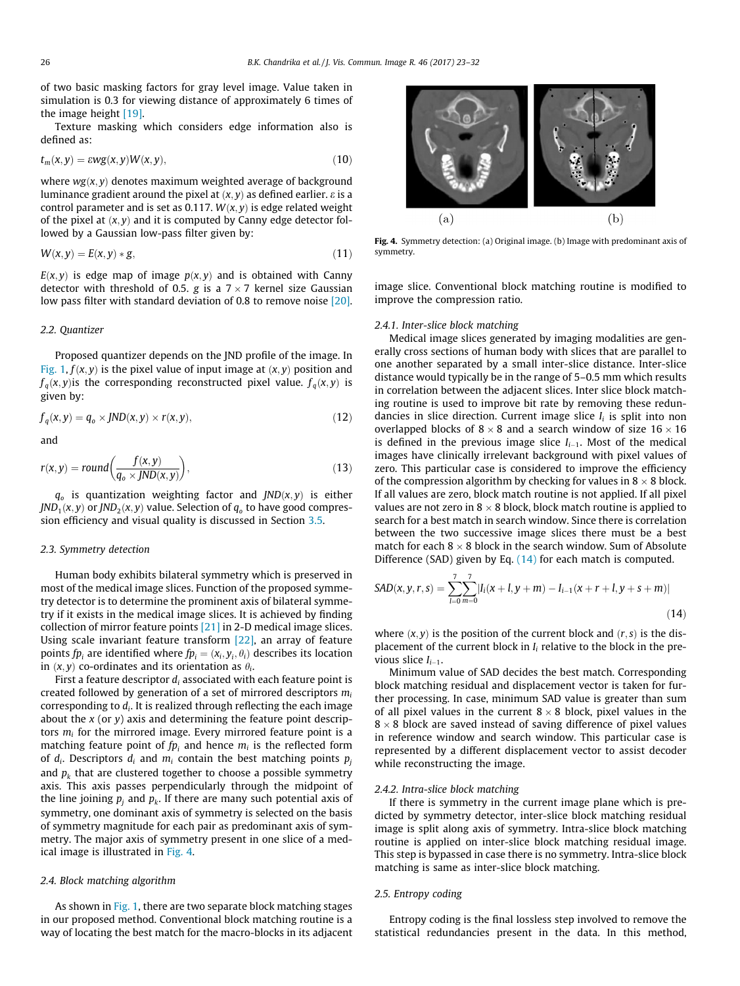<span id="page-3-0"></span>of two basic masking factors for gray level image. Value taken in simulation is 0.3 for viewing distance of approximately 6 times of the image height [\[19\]](#page-9-0).

Texture masking which considers edge information also is defined as:

$$
t_m(x,y) = \varepsilon w g(x,y) W(x,y), \qquad (10)
$$

where  $wg(x, y)$  denotes maximum weighted average of background luminance gradient around the pixel at  $(x, y)$  as defined earlier.  $\varepsilon$  is a control parameter and is set as 0.117.  $W(x, y)$  is edge related weight of the pixel at  $(x, y)$  and it is computed by Canny edge detector followed by a Gaussian low-pass filter given by:

$$
W(x, y) = E(x, y) * g,
$$
\n(11)

 $E(x, y)$  is edge map of image  $p(x, y)$  and is obtained with Canny detector with threshold of 0.5. g is a  $7 \times 7$  kernel size Gaussian low pass filter with standard deviation of 0.8 to remove noise [\[20\].](#page-9-0)

### 2.2. Quantizer

Proposed quantizer depends on the JND profile of the image. In [Fig. 1,](#page-1-0)  $f(x, y)$  is the pixel value of input image at  $(x, y)$  position and  $f_a(x, y)$  is the corresponding reconstructed pixel value.  $f_a(x, y)$  is given by:

$$
f_q(x, y) = q_o \times JND(x, y) \times r(x, y), \qquad (12)
$$

and

$$
r(x, y) = round\left(\frac{f(x, y)}{q_o \times JND(x, y)}\right),\tag{13}
$$

 $q_o$  is quantization weighting factor and  $JND(x, y)$  is either  $JND_1(x, y)$  or  $JND_2(x, y)$  value. Selection of  $q_0$  to have good compression efficiency and visual quality is discussed in Section [3.5.](#page-5-0)

#### 2.3. Symmetry detection

Human body exhibits bilateral symmetry which is preserved in most of the medical image slices. Function of the proposed symmetry detector is to determine the prominent axis of bilateral symmetry if it exists in the medical image slices. It is achieved by finding collection of mirror feature points [\[21\]](#page-9-0) in 2-D medical image slices. Using scale invariant feature transform [\[22\]](#page-9-0), an array of feature points  $fp_i$  are identified where  $fp_i = (x_i, y_i, \theta_i)$  describes its location in  $(x, y)$  co-ordinates and its orientation as  $\theta_i$ .

First a feature descriptor  $d_i$  associated with each feature point is created followed by generation of a set of mirrored descriptors  $m_i$ corresponding to  $d_i$ . It is realized through reflecting the each image about the  $x$  (or  $y$ ) axis and determining the feature point descriptors  $m_i$  for the mirrored image. Every mirrored feature point is a matching feature point of  $fp_i$  and hence  $m_i$  is the reflected form of  $d_i$ . Descriptors  $d_i$  and  $m_i$  contain the best matching points  $p_i$ and  $p_k$  that are clustered together to choose a possible symmetry axis. This axis passes perpendicularly through the midpoint of the line joining  $p_i$  and  $p_k$ . If there are many such potential axis of symmetry, one dominant axis of symmetry is selected on the basis of symmetry magnitude for each pair as predominant axis of symmetry. The major axis of symmetry present in one slice of a medical image is illustrated in Fig. 4.

#### 2.4. Block matching algorithm

As shown in [Fig. 1](#page-1-0), there are two separate block matching stages in our proposed method. Conventional block matching routine is a way of locating the best match for the macro-blocks in its adjacent



Fig. 4. Symmetry detection: (a) Original image. (b) Image with predominant axis of symmetry.

image slice. Conventional block matching routine is modified to improve the compression ratio.

#### 2.4.1. Inter-slice block matching

Medical image slices generated by imaging modalities are generally cross sections of human body with slices that are parallel to one another separated by a small inter-slice distance. Inter-slice distance would typically be in the range of 5–0.5 mm which results in correlation between the adjacent slices. Inter slice block matching routine is used to improve bit rate by removing these redundancies in slice direction. Current image slice  $I_i$  is split into non overlapped blocks of  $8 \times 8$  and a search window of size  $16 \times 16$ is defined in the previous image slice  $I_{i-1}$ . Most of the medical images have clinically irrelevant background with pixel values of zero. This particular case is considered to improve the efficiency of the compression algorithm by checking for values in  $8 \times 8$  block. If all values are zero, block match routine is not applied. If all pixel values are not zero in 8  $\times$  8 block, block match routine is applied to search for a best match in search window. Since there is correlation between the two successive image slices there must be a best match for each  $8 \times 8$  block in the search window. Sum of Absolute Difference (SAD) given by Eq. (14) for each match is computed.

$$
SAD(x, y, r, s) = \sum_{l=0}^{7} \sum_{m=0}^{7} |I_i(x + l, y + m) - I_{i-1}(x + r + l, y + s + m)|
$$
\n(14)

where  $(x, y)$  is the position of the current block and  $(r, s)$  is the displacement of the current block in  $I_i$  relative to the block in the previous slice  $I_{i-1}$ .

Minimum value of SAD decides the best match. Corresponding block matching residual and displacement vector is taken for further processing. In case, minimum SAD value is greater than sum of all pixel values in the current  $8 \times 8$  block, pixel values in the  $8 \times 8$  block are saved instead of saving difference of pixel values in reference window and search window. This particular case is represented by a different displacement vector to assist decoder while reconstructing the image.

#### 2.4.2. Intra-slice block matching

If there is symmetry in the current image plane which is predicted by symmetry detector, inter-slice block matching residual image is split along axis of symmetry. Intra-slice block matching routine is applied on inter-slice block matching residual image. This step is bypassed in case there is no symmetry. Intra-slice block matching is same as inter-slice block matching.

#### 2.5. Entropy coding

Entropy coding is the final lossless step involved to remove the statistical redundancies present in the data. In this method,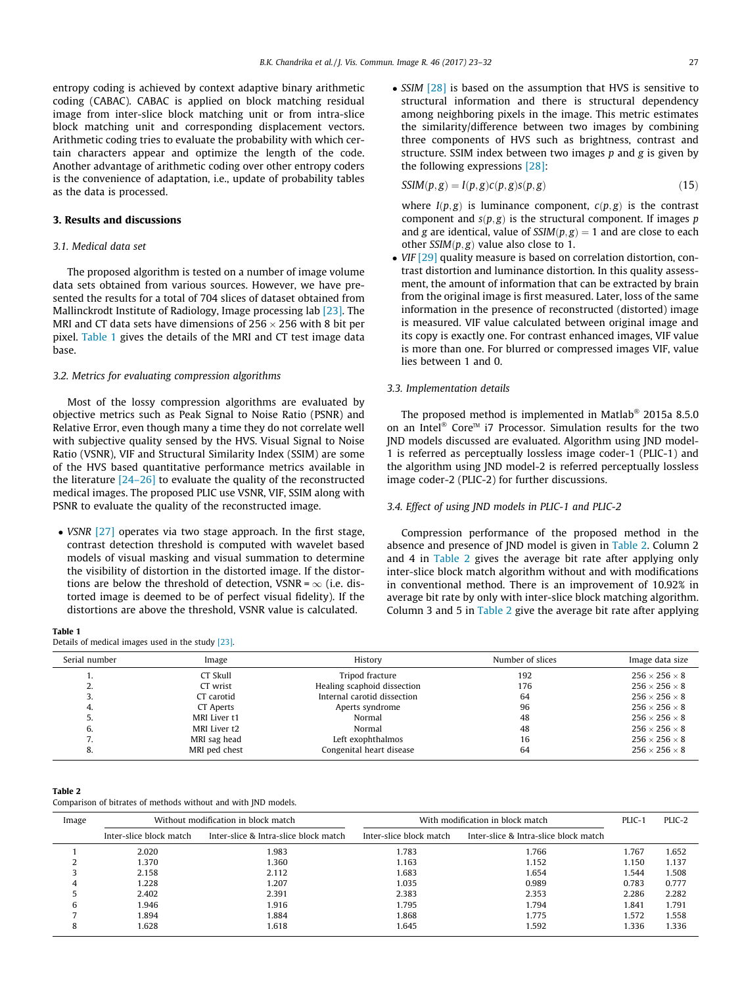<span id="page-4-0"></span>entropy coding is achieved by context adaptive binary arithmetic coding (CABAC). CABAC is applied on block matching residual image from inter-slice block matching unit or from intra-slice block matching unit and corresponding displacement vectors. Arithmetic coding tries to evaluate the probability with which certain characters appear and optimize the length of the code. Another advantage of arithmetic coding over other entropy coders is the convenience of adaptation, i.e., update of probability tables as the data is processed.

#### 3. Results and discussions

#### 3.1. Medical data set

The proposed algorithm is tested on a number of image volume data sets obtained from various sources. However, we have presented the results for a total of 704 slices of dataset obtained from Mallinckrodt Institute of Radiology, Image processing lab [\[23\].](#page-9-0) The MRI and CT data sets have dimensions of 256  $\times$  256 with 8 bit per pixel. Table 1 gives the details of the MRI and CT test image data base.

#### 3.2. Metrics for evaluating compression algorithms

Most of the lossy compression algorithms are evaluated by objective metrics such as Peak Signal to Noise Ratio (PSNR) and Relative Error, even though many a time they do not correlate well with subjective quality sensed by the HVS. Visual Signal to Noise Ratio (VSNR), VIF and Structural Similarity Index (SSIM) are some of the HVS based quantitative performance metrics available in the literature [\[24–26\]](#page-9-0) to evaluate the quality of the reconstructed medical images. The proposed PLIC use VSNR, VIF, SSIM along with PSNR to evaluate the quality of the reconstructed image.

• VSNR [\[27\]](#page-9-0) operates via two stage approach. In the first stage, contrast detection threshold is computed with wavelet based models of visual masking and visual summation to determine the visibility of distortion in the distorted image. If the distortions are below the threshold of detection, VSNR =  $\infty$  (i.e. distorted image is deemed to be of perfect visual fidelity). If the distortions are above the threshold, VSNR value is calculated.

#### Table 1

Details of medical images used in the study [\[23\]](#page-9-0).

• SSIM [\[28\]](#page-9-0) is based on the assumption that HVS is sensitive to structural information and there is structural dependency among neighboring pixels in the image. This metric estimates the similarity/difference between two images by combining three components of HVS such as brightness, contrast and structure. SSIM index between two images  $p$  and  $g$  is given by the following expressions [\[28\]:](#page-9-0)

$$
SSIM(p, g) = I(p, g)c(p, g)s(p, g)
$$
\n(15)

where  $I(p, g)$  is luminance component,  $c(p, g)$  is the contrast component and  $s(p, g)$  is the structural component. If images p and g are identical, value of  $SSIM(p, g) = 1$  and are close to each other  $SSIM(p, g)$  value also close to 1.

• VIF [\[29\]](#page-9-0) quality measure is based on correlation distortion, contrast distortion and luminance distortion. In this quality assessment, the amount of information that can be extracted by brain from the original image is first measured. Later, loss of the same information in the presence of reconstructed (distorted) image is measured. VIF value calculated between original image and its copy is exactly one. For contrast enhanced images, VIF value is more than one. For blurred or compressed images VIF, value lies between 1 and 0.

#### 3.3. Implementation details

The proposed method is implemented in Matlab<sup>®</sup> 2015a 8.5.0 on an Intel<sup>®</sup> Core<sup>™</sup> i7 Processor. Simulation results for the two JND models discussed are evaluated. Algorithm using JND model-1 is referred as perceptually lossless image coder-1 (PLIC-1) and the algorithm using JND model-2 is referred perceptually lossless image coder-2 (PLIC-2) for further discussions.

#### 3.4. Effect of using JND models in PLIC-1 and PLIC-2

Compression performance of the proposed method in the absence and presence of JND model is given in Table 2. Column 2 and 4 in Table 2 gives the average bit rate after applying only inter-slice block match algorithm without and with modifications in conventional method. There is an improvement of 10.92% in average bit rate by only with inter-slice block matching algorithm. Column 3 and 5 in Table 2 give the average bit rate after applying

| Serial number | Image         | History                     | Number of slices | Image data size           |
|---------------|---------------|-----------------------------|------------------|---------------------------|
|               | CT Skull      | Tripod fracture             | 192              | $256 \times 256 \times 8$ |
| ۷.            | CT wrist      | Healing scaphoid dissection | 176              | $256 \times 256 \times 8$ |
|               | CT carotid    | Internal carotid dissection | 64               | $256 \times 256 \times 8$ |
| 4.            | CT Aperts     | Aperts syndrome             | 96               | $256 \times 256 \times 8$ |
|               | MRI Liver t1  | Normal                      | 48               | $256 \times 256 \times 8$ |
| 6.            | MRI Liver t2  | Normal                      | 48               | $256 \times 256 \times 8$ |
| $\prime$ .    | MRI sag head  | Left exophthalmos           | 16               | $256 \times 256 \times 8$ |
| 8.            | MRI ped chest | Congenital heart disease    | 64               | $256 \times 256 \times 8$ |

Table 2

Comparison of bitrates of methods without and with JND models.

| Image |                         | Without modification in block match   | With modification in block match | PLIC-1                                | PLIC-2 |       |
|-------|-------------------------|---------------------------------------|----------------------------------|---------------------------------------|--------|-------|
|       | Inter-slice block match | Inter-slice & Intra-slice block match | Inter-slice block match          | Inter-slice & Intra-slice block match |        |       |
|       | 2.020                   | 1.983                                 | 1.783                            | 1.766                                 | 1.767  | 1.652 |
|       | 1.370                   | 1.360                                 | 1.163                            | 1.152                                 | 1.150  | 1.137 |
|       | 2.158                   | 2.112                                 | 1.683                            | 1.654                                 | .544   | 1.508 |
| 4     | 1.228                   | 1.207                                 | 1.035                            | 0.989                                 | 0.783  | 0.777 |
|       | 2.402                   | 2.391                                 | 2.383                            | 2.353                                 | 2.286  | 2.282 |
| 6     | 1.946                   | 1.916                                 | 1.795                            | 1.794                                 | 1.841  | 1.791 |
|       | 1.894                   | 1.884                                 | 1.868                            | 1.775                                 | 1.572  | 1.558 |
| o     | 1.628                   | 1.618                                 | 1.645                            | 1.592                                 | .336   | 1.336 |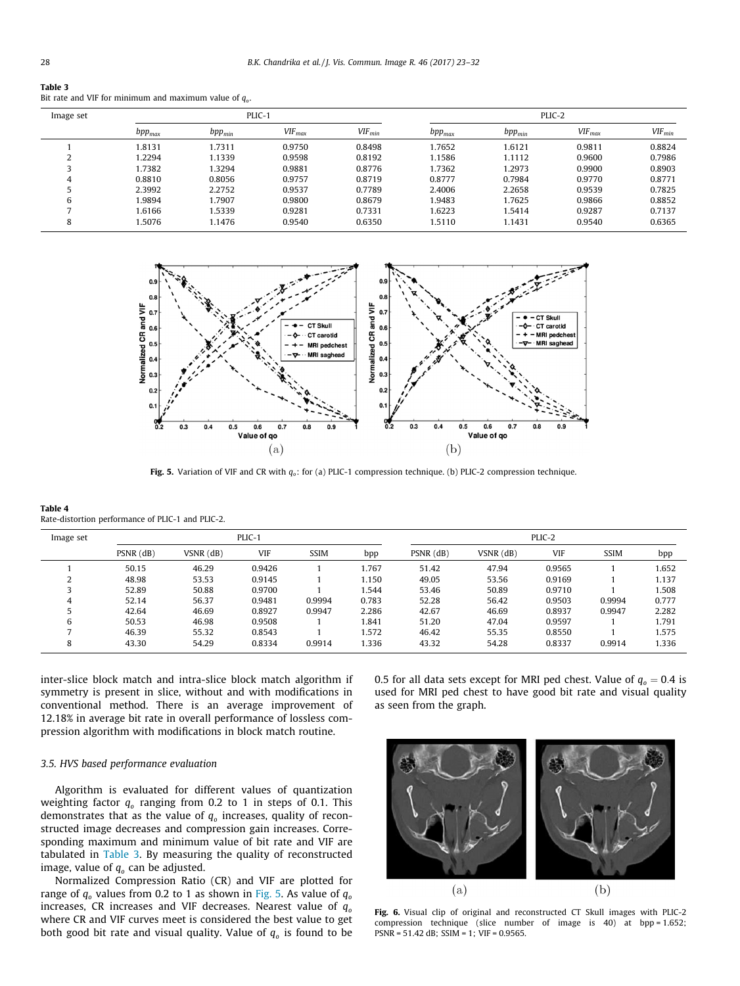<span id="page-5-0"></span>

| Table 3                                                   |
|-----------------------------------------------------------|
| Bit rate and VIF for minimum and maximum value of $q_a$ . |
|                                                           |

| Image set | PLIC-1      |             |             |             | PLIC-2      |             |             |             |
|-----------|-------------|-------------|-------------|-------------|-------------|-------------|-------------|-------------|
|           | $bpp_{max}$ | $bpp_{min}$ | $VIF_{max}$ | $VIF_{min}$ | $bpp_{max}$ | $bpp_{min}$ | $VIF_{max}$ | $VIF_{min}$ |
|           | 1.8131      | 1.7311      | 0.9750      | 0.8498      | 1.7652      | 1.6121      | 0.9811      | 0.8824      |
|           | 1.2294      | 1.1339      | 0.9598      | 0.8192      | 1.1586      | 1.1112      | 0.9600      | 0.7986      |
|           | 1.7382      | 1.3294      | 0.9881      | 0.8776      | 1.7362      | 1.2973      | 0.9900      | 0.8903      |
| 4         | 0.8810      | 0.8056      | 0.9757      | 0.8719      | 0.8777      | 0.7984      | 0.9770      | 0.8771      |
|           | 2.3992      | 2.2752      | 0.9537      | 0.7789      | 2.4006      | 2.2658      | 0.9539      | 0.7825      |
| 6         | 1.9894      | 1.7907      | 0.9800      | 0.8679      | 1.9483      | 1.7625      | 0.9866      | 0.8852      |
|           | 1.6166      | 1.5339      | 0.9281      | 0.7331      | 1.6223      | 1.5414      | 0.9287      | 0.7137      |
| 8         | 1.5076      | 1.1476      | 0.9540      | 0.6350      | 1.5110      | 1.1431      | 0.9540      | 0.6365      |



Fig. 5. Variation of VIF and CR with  $q_o$ : for (a) PLIC-1 compression technique. (b) PLIC-2 compression technique.

Table 4 Rate-distortion performance of PLIC-1 and PLIC-2.

| Image set | PLIC-1      |                 |        |             |       | PLIC-2    |               |            |             |       |
|-----------|-------------|-----------------|--------|-------------|-------|-----------|---------------|------------|-------------|-------|
|           | $PSNR$ (dB) | $VSNR$ ( $dB$ ) | VIF    | <b>SSIM</b> | bpp   | PSNR (dB) | $VSNR$ $(dB)$ | <b>VIF</b> | <b>SSIM</b> | bpp   |
|           | 50.15       | 46.29           | 0.9426 |             | 1.767 | 51.42     | 47.94         | 0.9565     |             | 1.652 |
|           | 48.98       | 53.53           | 0.9145 |             | 1.150 | 49.05     | 53.56         | 0.9169     |             | 1.137 |
|           | 52.89       | 50.88           | 0.9700 |             | 1.544 | 53.46     | 50.89         | 0.9710     |             | 1.508 |
|           | 52.14       | 56.37           | 0.9481 | 0.9994      | 0.783 | 52.28     | 56.42         | 0.9503     | 0.9994      | 0.777 |
|           | 42.64       | 46.69           | 0.8927 | 0.9947      | 2.286 | 42.67     | 46.69         | 0.8937     | 0.9947      | 2.282 |
| 6         | 50.53       | 46.98           | 0.9508 |             | 1.841 | 51.20     | 47.04         | 0.9597     |             | 1.791 |
|           | 46.39       | 55.32           | 0.8543 |             | 1.572 | 46.42     | 55.35         | 0.8550     |             | 1.575 |
|           | 43.30       | 54.29           | 0.8334 | 0.9914      | 1.336 | 43.32     | 54.28         | 0.8337     | 0.9914      | 1.336 |

inter-slice block match and intra-slice block match algorithm if symmetry is present in slice, without and with modifications in conventional method. There is an average improvement of 12.18% in average bit rate in overall performance of lossless compression algorithm with modifications in block match routine.

## 3.5. HVS based performance evaluation

Algorithm is evaluated for different values of quantization weighting factor  $q_0$  ranging from 0.2 to 1 in steps of 0.1. This demonstrates that as the value of  $q_0$  increases, quality of reconstructed image decreases and compression gain increases. Corresponding maximum and minimum value of bit rate and VIF are tabulated in Table 3. By measuring the quality of reconstructed image, value of  $q_0$  can be adjusted.

Normalized Compression Ratio (CR) and VIF are plotted for range of  $q_0$  values from 0.2 to 1 as shown in Fig. 5. As value of  $q_0$ increases, CR increases and VIF decreases. Nearest value of  $q_0$ where CR and VIF curves meet is considered the best value to get both good bit rate and visual quality. Value of  $q_0$  is found to be 0.5 for all data sets except for MRI ped chest. Value of  $q_0 = 0.4$  is used for MRI ped chest to have good bit rate and visual quality as seen from the graph.



Fig. 6. Visual clip of original and reconstructed CT Skull images with PLIC-2 compression technique (slice number of image is 40) at bpp = 1.652; PSNR = 51.42 dB; SSIM = 1; VIF = 0.9565.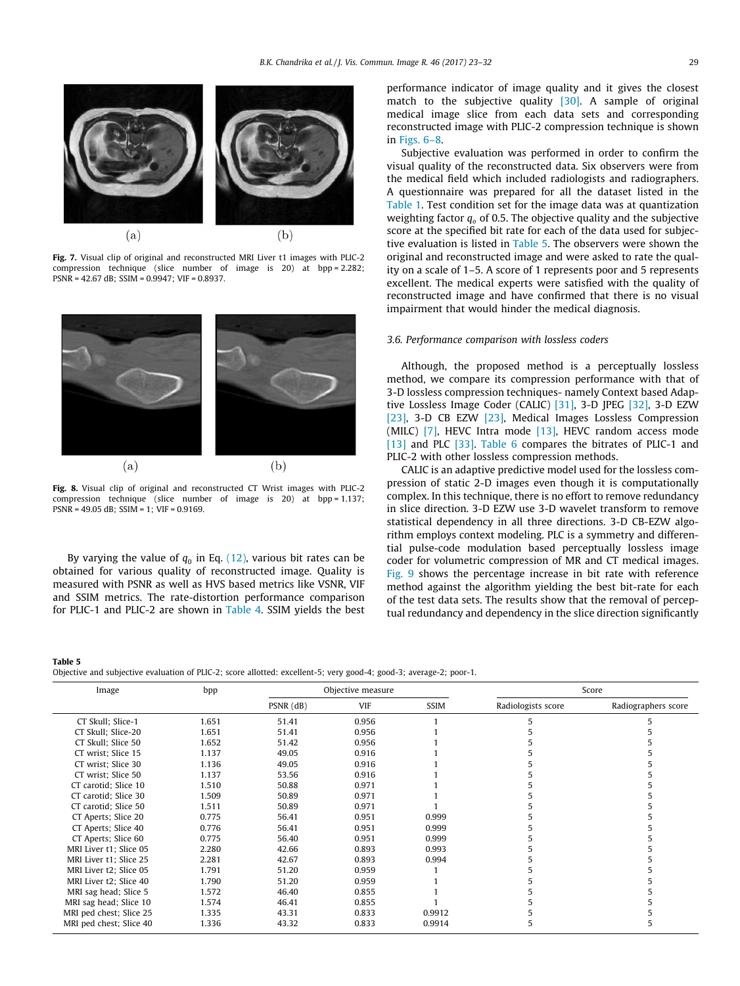

Fig. 7. Visual clip of original and reconstructed MRI Liver t1 images with PLIC-2 compression technique (slice number of image is 20) at bpp = 2.282; PSNR = 42.67 dB; SSIM = 0.9947; VIF = 0.8937.



Fig. 8. Visual clip of original and reconstructed CT Wrist images with PLIC-2 compression technique (slice number of image is 20) at bpp = 1.137; PSNR = 49.05 dB; SSIM = 1; VIF = 0.9169.

By varying the value of  $q_0$  in Eq. [\(12\)](#page-3-0), various bit rates can be obtained for various quality of reconstructed image. Quality is measured with PSNR as well as HVS based metrics like VSNR, VIF and SSIM metrics. The rate-distortion performance comparison for PLIC-1 and PLIC-2 are shown in [Table 4](#page-5-0). SSIM yields the best

Table 5

performance indicator of image quality and it gives the closest match to the subjective quality [\[30\].](#page-9-0) A sample of original medical image slice from each data sets and corresponding reconstructed image with PLIC-2 compression technique is shown in [Figs. 6–8](#page-5-0).

Subjective evaluation was performed in order to confirm the visual quality of the reconstructed data. Six observers were from the medical field which included radiologists and radiographers. A questionnaire was prepared for all the dataset listed in the [Table 1](#page-4-0). Test condition set for the image data was at quantization weighting factor  $q_0$  of 0.5. The objective quality and the subjective score at the specified bit rate for each of the data used for subjective evaluation is listed in Table 5. The observers were shown the original and reconstructed image and were asked to rate the quality on a scale of 1–5. A score of 1 represents poor and 5 represents excellent. The medical experts were satisfied with the quality of reconstructed image and have confirmed that there is no visual impairment that would hinder the medical diagnosis.

#### 3.6. Performance comparison with lossless coders

Although, the proposed method is a perceptually lossless method, we compare its compression performance with that of 3-D lossless compression techniques- namely Context based Adaptive Lossless Image Coder (CALIC) [\[31\]](#page-9-0), 3-D JPEG [\[32\],](#page-9-0) 3-D EZW [\[23\]](#page-9-0), 3-D CB EZW [\[23\],](#page-9-0) Medical Images Lossless Compression (MILC)  $[7]$ , HEVC Intra mode  $[13]$ , HEVC random access mode [\[13\]](#page-9-0) and PLC [\[33\].](#page-9-0) [Table 6](#page-7-0) compares the bitrates of PLIC-1 and PLIC-2 with other lossless compression methods.

CALIC is an adaptive predictive model used for the lossless compression of static 2-D images even though it is computationally complex. In this technique, there is no effort to remove redundancy in slice direction. 3-D EZW use 3-D wavelet transform to remove statistical dependency in all three directions. 3-D CB-EZW algorithm employs context modeling. PLC is a symmetry and differential pulse-code modulation based perceptually lossless image coder for volumetric compression of MR and CT medical images. [Fig. 9](#page-7-0) shows the percentage increase in bit rate with reference method against the algorithm yielding the best bit-rate for each of the test data sets. The results show that the removal of perceptual redundancy and dependency in the slice direction significantly

Objective and subjective evaluation of PLIC-2; score allotted: excellent-5; very good-4; good-3; average-2; poor-1.

| Image                   | bpp   | Objective measure |       |             |                    | Score               |  |
|-------------------------|-------|-------------------|-------|-------------|--------------------|---------------------|--|
|                         |       | $PSNR$ (dB)       | VIF   | <b>SSIM</b> | Radiologists score | Radiographers score |  |
| CT Skull; Slice-1       | 1.651 | 51.41             | 0.956 |             |                    |                     |  |
| CT Skull; Slice-20      | 1.651 | 51.41             | 0.956 |             |                    |                     |  |
| CT Skull; Slice 50      | 1.652 | 51.42             | 0.956 |             |                    |                     |  |
| CT wrist; Slice 15      | 1.137 | 49.05             | 0.916 |             |                    |                     |  |
| CT wrist; Slice 30      | 1.136 | 49.05             | 0.916 |             |                    |                     |  |
| CT wrist; Slice 50      | 1.137 | 53.56             | 0.916 |             |                    |                     |  |
| CT carotid; Slice 10    | 1.510 | 50.88             | 0.971 |             |                    |                     |  |
| CT carotid; Slice 30    | 1.509 | 50.89             | 0.971 |             |                    |                     |  |
| CT carotid; Slice 50    | 1.511 | 50.89             | 0.971 |             |                    |                     |  |
| CT Aperts; Slice 20     | 0.775 | 56.41             | 0.951 | 0.999       |                    |                     |  |
| CT Aperts; Slice 40     | 0.776 | 56.41             | 0.951 | 0.999       |                    |                     |  |
| CT Aperts; Slice 60     | 0.775 | 56.40             | 0.951 | 0.999       |                    |                     |  |
| MRI Liver t1; Slice 05  | 2.280 | 42.66             | 0.893 | 0.993       |                    |                     |  |
| MRI Liver t1; Slice 25  | 2.281 | 42.67             | 0.893 | 0.994       |                    |                     |  |
| MRI Liver t2: Slice 05  | 1.791 | 51.20             | 0.959 |             |                    |                     |  |
| MRI Liver t2; Slice 40  | 1.790 | 51.20             | 0.959 |             |                    |                     |  |
| MRI sag head; Slice 5   | 1.572 | 46.40             | 0.855 |             |                    |                     |  |
| MRI sag head; Slice 10  | 1.574 | 46.41             | 0.855 |             |                    |                     |  |
| MRI ped chest; Slice 25 | 1.335 | 43.31             | 0.833 | 0.9912      |                    |                     |  |
| MRI ped chest; Slice 40 | 1.336 | 43.32             | 0.833 | 0.9914      |                    |                     |  |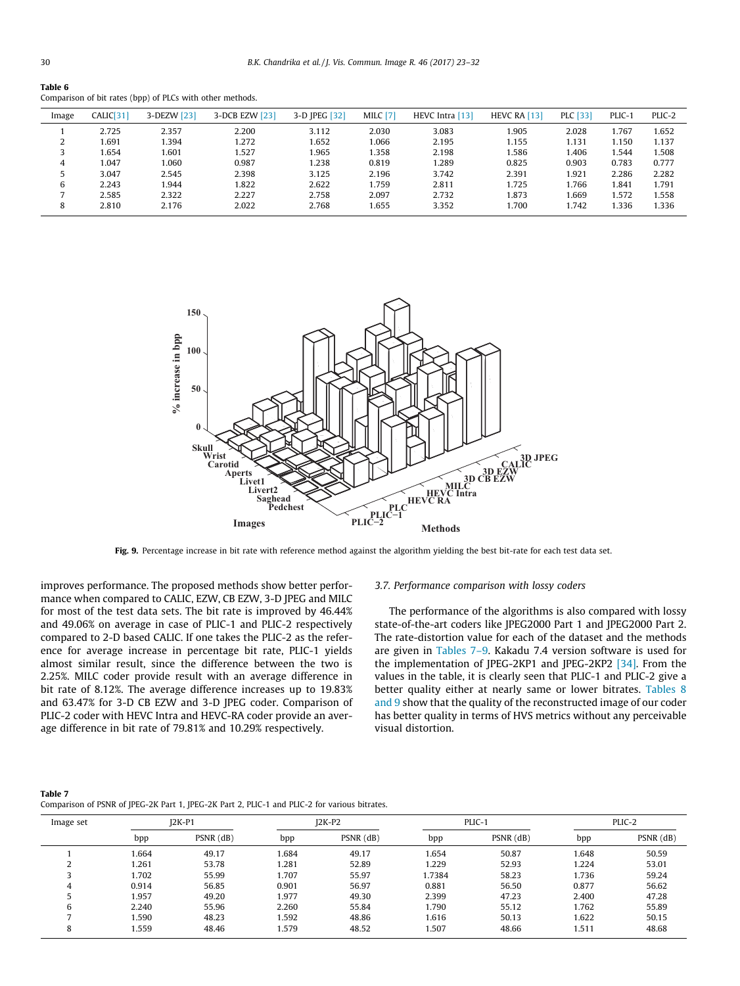<span id="page-7-0"></span>Table 6

|       |           | --- ----- (- <b>rr</b> ) -- - --- ------ - <i>--</i> --- |                |               |                 |                 |              |                 |        |        |
|-------|-----------|----------------------------------------------------------|----------------|---------------|-----------------|-----------------|--------------|-----------------|--------|--------|
| Image | CALIC[31] | 3-DEZW [23]                                              | 3-DCB EZW [23] | 3-D JPEG [32] | <b>MILC</b> [7] | HEVC Intra [13] | HEVC RA [13] | <b>PLC</b> [33] | PLIC-1 | PLIC-2 |
|       | 2.725     | 2.357                                                    | 2.200          | 3.112         | 2.030           | 3.083           | 1.905        | 2.028           | 1.767  | .652   |
| ∠     | 1.691     | 1.394                                                    | 1.272          | 1.652         | 1.066           | 2.195           | 1.155        | 1.131           | 1.150  | 1.137  |
|       | 1.654     | 1.601                                                    | 1.527          | 1.965         | 1.358           | 2.198           | 1.586        | 1.406           | l.544  | .508   |
| 4     | 1.047     | 1.060                                                    | 0.987          | 1.238         | 0.819           | 1.289           | 0.825        | 0.903           | 0.783  | 0.777  |
|       | 3.047     | 2.545                                                    | 2.398          | 3.125         | 2.196           | 3.742           | 2.391        | 1.921           | 2.286  | 2.282  |
| 6     | 2.243     | 1.944                                                    | 1.822          | 2.622         | 1.759           | 2.811           | 1.725        | 1.766           | 1.841  | 1.791  |
|       | 2.585     | 2.322                                                    | 2.227          | 2.758         | 2.097           | 2.732           | 1.873        | 1.669           | 1.572  | 1.558  |
| 8     | 2.810     | 2.176                                                    | 2.022          | 2.768         | 1.655           | 3.352           | 1.700        | 1.742           | 1.336  | 1.336  |

Comparison of bit rates (bpp) of PLCs with other methods.



Fig. 9. Percentage increase in bit rate with reference method against the algorithm yielding the best bit-rate for each test data set.

improves performance. The proposed methods show better performance when compared to CALIC, EZW, CB EZW, 3-D JPEG and MILC for most of the test data sets. The bit rate is improved by 46.44% and 49.06% on average in case of PLIC-1 and PLIC-2 respectively compared to 2-D based CALIC. If one takes the PLIC-2 as the reference for average increase in percentage bit rate, PLIC-1 yields almost similar result, since the difference between the two is 2.25%. MILC coder provide result with an average difference in bit rate of 8.12%. The average difference increases up to 19.83% and 63.47% for 3-D CB EZW and 3-D JPEG coder. Comparison of PLIC-2 coder with HEVC Intra and HEVC-RA coder provide an average difference in bit rate of 79.81% and 10.29% respectively.

#### 3.7. Performance comparison with lossy coders

The performance of the algorithms is also compared with lossy state-of-the-art coders like JPEG2000 Part 1 and JPEG2000 Part 2. The rate-distortion value for each of the dataset and the methods are given in Tables 7–9. Kakadu 7.4 version software is used for the implementation of JPEG-2KP1 and JPEG-2KP2 [\[34\]](#page-9-0). From the values in the table, it is clearly seen that PLIC-1 and PLIC-2 give a better quality either at nearly same or lower bitrates. [Tables 8](#page-8-0) [and 9](#page-8-0) show that the quality of the reconstructed image of our coder has better quality in terms of HVS metrics without any perceivable visual distortion.

| Table 7                                                                                       |  |  |
|-----------------------------------------------------------------------------------------------|--|--|
| Comparison of PSNR of JPEG-2K Part 1, JPEG-2K Part 2, PLIC-1 and PLIC-2 for various bitrates. |  |  |

| Image set | $I2K-P1$ |             | $I2K-P2$ |           | PLIC-1 |             | PLIC-2 |           |
|-----------|----------|-------------|----------|-----------|--------|-------------|--------|-----------|
|           | bpp      | $PSNR$ (dB) | bpp      | PSNR (dB) | bpp    | $PSNR$ (dB) | bpp    | PSNR (dB) |
|           | 1.664    | 49.17       | 1.684    | 49.17     | 1.654  | 50.87       | 1.648  | 50.59     |
|           | 1.261    | 53.78       | 1.281    | 52.89     | 1.229  | 52.93       | 1.224  | 53.01     |
|           | 1.702    | 55.99       | 1.707    | 55.97     | 1.7384 | 58.23       | 1.736  | 59.24     |
| 4         | 0.914    | 56.85       | 0.901    | 56.97     | 0.881  | 56.50       | 0.877  | 56.62     |
|           | 1.957    | 49.20       | 1.977    | 49.30     | 2.399  | 47.23       | 2.400  | 47.28     |
| 6         | 2.240    | 55.96       | 2.260    | 55.84     | 1.790  | 55.12       | 1.762  | 55.89     |
|           | 1.590    | 48.23       | 1.592    | 48.86     | 1.616  | 50.13       | 1.622  | 50.15     |
| 8         | 1.559    | 48.46       | 1.579    | 48.52     | 1.507  | 48.66       | 1.511  | 48.68     |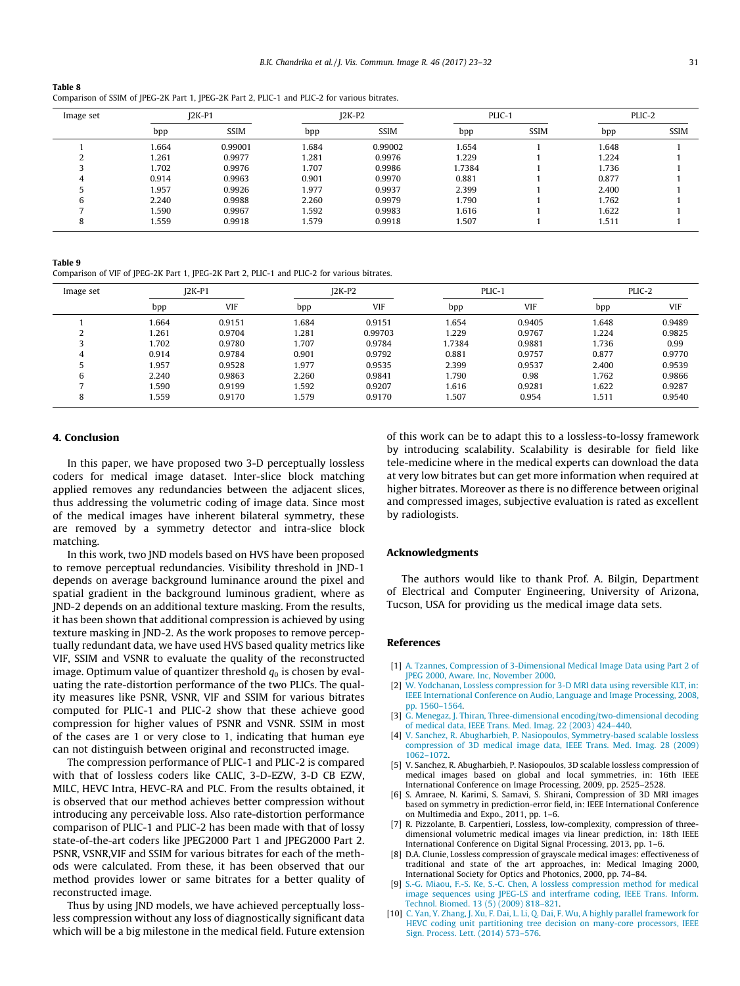<span id="page-8-0"></span>

| Table 8                                                                                       |  |
|-----------------------------------------------------------------------------------------------|--|
| Comparison of SSIM of JPEG-2K Part 1, JPEG-2K Part 2, PLIC-1 and PLIC-2 for various bitrates. |  |

| Image set | $I2K-P1$ |             | $I2K-P2$ |             | PLIC-1 |             | PLIC-2 |             |
|-----------|----------|-------------|----------|-------------|--------|-------------|--------|-------------|
|           | bpp      | <b>SSIM</b> | bpp      | <b>SSIM</b> | bpp    | <b>SSIM</b> | bpp    | <b>SSIM</b> |
|           | 1.664    | 0.99001     | 1.684    | 0.99002     | 1.654  |             | 1.648  |             |
|           | 1.261    | 0.9977      | 1.281    | 0.9976      | 1.229  |             | 1.224  |             |
|           | 1.702    | 0.9976      | 1.707    | 0.9986      | 1.7384 |             | 1.736  |             |
| 4         | 0.914    | 0.9963      | 0.901    | 0.9970      | 0.881  |             | 0.877  |             |
|           | 1.957    | 0.9926      | 1.977    | 0.9937      | 2.399  |             | 2.400  |             |
|           | 2.240    | 0.9988      | 2.260    | 0.9979      | 1.790  |             | 1.762  |             |
|           | .590     | 0.9967      | 1.592    | 0.9983      | 1.616  |             | 1.622  |             |
| õ         | .559     | 0.9918      | 1.579    | 0.9918      | 1.507  |             | 1.511  |             |

Table 9

Comparison of VIF of JPEG-2K Part 1, JPEG-2K Part 2, PLIC-1 and PLIC-2 for various bitrates.

| Image set | $I2K-P1$ |            | $I2K-P2$ |         | PLIC-1 |            | PLIC-2 |        |
|-----------|----------|------------|----------|---------|--------|------------|--------|--------|
|           | bpp      | <b>VIF</b> | bpp      | VIF     | bpp    | <b>VIF</b> | bpp    | VIF    |
|           | 1.664    | 0.9151     | 1.684    | 0.9151  | 1.654  | 0.9405     | 1.648  | 0.9489 |
|           | 1.261    | 0.9704     | 1.281    | 0.99703 | 1.229  | 0.9767     | 1.224  | 0.9825 |
|           | 1.702    | 0.9780     | 1.707    | 0.9784  | 1.7384 | 0.9881     | 1.736  | 0.99   |
| 4         | 0.914    | 0.9784     | 0.901    | 0.9792  | 0.881  | 0.9757     | 0.877  | 0.9770 |
|           | 1.957    | 0.9528     | 1.977    | 0.9535  | 2.399  | 0.9537     | 2.400  | 0.9539 |
| 6         | 2.240    | 0.9863     | 2.260    | 0.9841  | 1.790  | 0.98       | 1.762  | 0.9866 |
|           | 1.590    | 0.9199     | 1.592    | 0.9207  | 1.616  | 0.9281     | 1.622  | 0.9287 |
| 8         | 1.559    | 0.9170     | 1.579    | 0.9170  | 1.507  | 0.954      | 1.511  | 0.9540 |

#### 4. Conclusion

In this paper, we have proposed two 3-D perceptually lossless coders for medical image dataset. Inter-slice block matching applied removes any redundancies between the adjacent slices, thus addressing the volumetric coding of image data. Since most of the medical images have inherent bilateral symmetry, these are removed by a symmetry detector and intra-slice block matching.

In this work, two JND models based on HVS have been proposed to remove perceptual redundancies. Visibility threshold in JND-1 depends on average background luminance around the pixel and spatial gradient in the background luminous gradient, where as JND-2 depends on an additional texture masking. From the results, it has been shown that additional compression is achieved by using texture masking in JND-2. As the work proposes to remove perceptually redundant data, we have used HVS based quality metrics like VIF, SSIM and VSNR to evaluate the quality of the reconstructed image. Optimum value of quantizer threshold  $q_0$  is chosen by evaluating the rate-distortion performance of the two PLICs. The quality measures like PSNR, VSNR, VIF and SSIM for various bitrates computed for PLIC-1 and PLIC-2 show that these achieve good compression for higher values of PSNR and VSNR. SSIM in most of the cases are 1 or very close to 1, indicating that human eye can not distinguish between original and reconstructed image.

The compression performance of PLIC-1 and PLIC-2 is compared with that of lossless coders like CALIC, 3-D-EZW, 3-D CB EZW, MILC, HEVC Intra, HEVC-RA and PLC. From the results obtained, it is observed that our method achieves better compression without introducing any perceivable loss. Also rate-distortion performance comparison of PLIC-1 and PLIC-2 has been made with that of lossy state-of-the-art coders like JPEG2000 Part 1 and JPEG2000 Part 2. PSNR, VSNR,VIF and SSIM for various bitrates for each of the methods were calculated. From these, it has been observed that our method provides lower or same bitrates for a better quality of reconstructed image.

Thus by using JND models, we have achieved perceptually lossless compression without any loss of diagnostically significant data which will be a big milestone in the medical field. Future extension of this work can be to adapt this to a lossless-to-lossy framework by introducing scalability. Scalability is desirable for field like tele-medicine where in the medical experts can download the data at very low bitrates but can get more information when required at higher bitrates. Moreover as there is no difference between original and compressed images, subjective evaluation is rated as excellent by radiologists.

#### Acknowledgments

The authors would like to thank Prof. A. Bilgin, Department of Electrical and Computer Engineering, University of Arizona, Tucson, USA for providing us the medical image data sets.

#### References

- [1] [A. Tzannes, Compression of 3-Dimensional Medical Image Data using Part 2 of](http://refhub.elsevier.com/S1047-3203(17)30071-8/h0005) [JPEG 2000, Aware. Inc, November 2000.](http://refhub.elsevier.com/S1047-3203(17)30071-8/h0005)
- [W. Yodchanan, Lossless compression for 3-D MRI data using reversible KLT, in:](http://refhub.elsevier.com/S1047-3203(17)30071-8/h0010) [IEEE International Conference on Audio, Language and Image Processing, 2008,](http://refhub.elsevier.com/S1047-3203(17)30071-8/h0010) [pp. 1560–1564](http://refhub.elsevier.com/S1047-3203(17)30071-8/h0010).
- [3] [G. Menegaz, J. Thiran, Three-dimensional encoding/two-dimensional decoding](http://refhub.elsevier.com/S1047-3203(17)30071-8/h0015) [of medical data, IEEE Trans. Med. Imag. 22 \(2003\) 424–440](http://refhub.elsevier.com/S1047-3203(17)30071-8/h0015).
- [4] [V. Sanchez, R. Abugharbieh, P. Nasiopoulos, Symmetry-based scalable lossless](http://refhub.elsevier.com/S1047-3203(17)30071-8/h0020) [compression of 3D medical image data, IEEE Trans. Med. Imag. 28 \(2009\)](http://refhub.elsevier.com/S1047-3203(17)30071-8/h0020) [1062–1072.](http://refhub.elsevier.com/S1047-3203(17)30071-8/h0020)
- [5] V. Sanchez, R. Abugharbieh, P. Nasiopoulos, 3D scalable lossless compression of medical images based on global and local symmetries, in: 16th IEEE International Conference on Image Processing, 2009, pp. 2525–2528.
- [6] S. Amraee, N. Karimi, S. Samavi, S. Shirani, Compression of 3D MRI images based on symmetry in prediction-error field, in: IEEE International Conference on Multimedia and Expo., 2011, pp. 1–6.
- [7] R. Pizzolante, B. Carpentieri, Lossless, low-complexity, compression of threedimensional volumetric medical images via linear prediction, in: 18th IEEE International Conference on Digital Signal Processing, 2013, pp. 1–6.
- [8] D.A. Clunie, Lossless compression of grayscale medical images: effectiveness of traditional and state of the art approaches, in: Medical Imaging 2000, International Society for Optics and Photonics, 2000, pp. 74–84.
- [9] [S.-G. Miaou, F.-S. Ke, S.-C. Chen, A lossless compression method for medical](http://refhub.elsevier.com/S1047-3203(17)30071-8/h0045) [image sequences using JPEG-LS and interframe coding, IEEE Trans. Inform.](http://refhub.elsevier.com/S1047-3203(17)30071-8/h0045) [Technol. Biomed. 13 \(5\) \(2009\) 818–821.](http://refhub.elsevier.com/S1047-3203(17)30071-8/h0045)
- [10] [C. Yan, Y. Zhang, J. Xu, F. Dai, L. Li, Q. Dai, F. Wu, A highly parallel framework for](http://refhub.elsevier.com/S1047-3203(17)30071-8/h0050) [HEVC coding unit partitioning tree decision on many-core processors, IEEE](http://refhub.elsevier.com/S1047-3203(17)30071-8/h0050) [Sign. Process. Lett. \(2014\) 573–576.](http://refhub.elsevier.com/S1047-3203(17)30071-8/h0050)